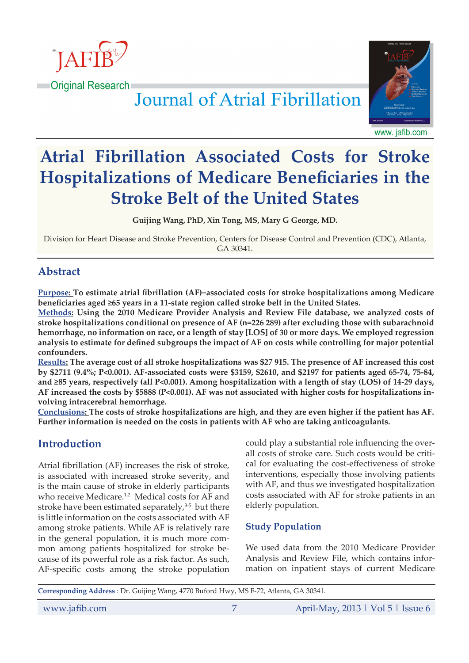

Journal of Atrial Fibrillation



www. jafib.com

# **Atrial Fibrillation Associated Costs for Stroke Hospitalizations of Medicare Beneficiaries in the Stroke Belt of the United States**

**Guijing Wang, PhD, Xin Tong, MS, Mary G George, MD.**

Division for Heart Disease and Stroke Prevention, Centers for Disease Control and Prevention (CDC), Atlanta, GA 30341.

## **Abstract**

**Purpose: To estimate atrial fibrillation (AF)−associated costs for stroke hospitalizations among Medicare beneficiaries aged ≥65 years in a 11-state region called stroke belt in the United States.**

**Methods: Using the 2010 Medicare Provider Analysis and Review File database, we analyzed costs of stroke hospitalizations conditional on presence of AF (n=226 289) after excluding those with subarachnoid hemorrhage, no information on race, or a length of stay [LOS] of 30 or more days. We employed regression analysis to estimate for defined subgroups the impact of AF on costs while controlling for major potential confounders.** 

**Results: The average cost of all stroke hospitalizations was \$27 915. The presence of AF increased this cost by \$2711 (9.4%; P<0.001). AF-associated costs were \$3159, \$2610, and \$2197 for patients aged 65-74, 75-84, and ≥85 years, respectively (all P<0.001). Among hospitalization with a length of stay (LOS) of 14-29 days, AF increased the costs by \$5888 (P<0.001). AF was not associated with higher costs for hospitalizations involving intracerebral hemorrhage.**

**Conclusions: The costs of stroke hospitalizations are high, and they are even higher if the patient has AF. Further information is needed on the costs in patients with AF who are taking anticoagulants.**

## **Introduction**

Atrial fibrillation (AF) increases the risk of stroke, is associated with increased stroke severity, and is the main cause of stroke in elderly participants who receive Medicare.<sup>1,2</sup> Medical costs for AF and stroke have been estimated separately, $3-5$  but there is little information on the costs associated with AF among stroke patients. While AF is relatively rare in the general population, it is much more common among patients hospitalized for stroke because of its powerful role as a risk factor. As such, AF-specific costs among the stroke population could play a substantial role influencing the overall costs of stroke care. Such costs would be critical for evaluating the cost-effectiveness of stroke interventions, especially those involving patients with AF, and thus we investigated hospitalization costs associated with AF for stroke patients in an elderly population.

#### **Study Population**

We used data from the 2010 Medicare Provider Analysis and Review File, which contains information on inpatient stays of current Medicare

```
Corresponding Address : Dr. Guijing Wang, 4770 Buford Hwy, MS F-72, Atlanta, GA 30341.
```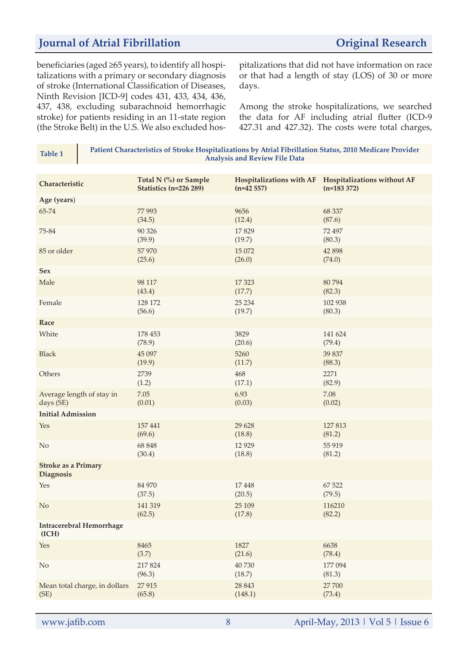## **Journal of Atrial Fibrillation** *Original Research*

beneficiaries (aged ≥65 years), to identify all hospitalizations with a primary or secondary diagnosis of stroke (International Classification of Diseases, Ninth Revision [ICD-9] codes 431, 433, 434, 436, 437, 438, excluding subarachnoid hemorrhagic stroke) for patients residing in an 11-state region (the Stroke Belt) in the U.S. We also excluded hospitalizations that did not have information on race or that had a length of stay (LOS) of 30 or more days.

Among the stroke hospitalizations, we searched the data for AF including atrial flutter (ICD-9 427.31 and 427.32). The costs were total charges,

| $1001C_1$                                | <b>Analysis and Review File Data</b>            |             |                                                                       |  |
|------------------------------------------|-------------------------------------------------|-------------|-----------------------------------------------------------------------|--|
|                                          |                                                 |             |                                                                       |  |
| Characteristic                           | Total N (%) or Sample<br>Statistics (n=226 289) | $(n=42557)$ | Hospitalizations with AF Hospitalizations without AF<br>$(n=183 372)$ |  |
| Age (years)                              |                                                 |             |                                                                       |  |
| 65-74                                    | 77993                                           | 9656        | 68 337                                                                |  |
|                                          | (34.5)                                          | (12.4)      | (87.6)                                                                |  |
| 75-84                                    | 90 326                                          | 17829       | 72 497                                                                |  |
|                                          | (39.9)                                          | (19.7)      | (80.3)                                                                |  |
| 85 or older                              | 57 970                                          | 15 072      | 42 898                                                                |  |
|                                          | (25.6)                                          | (26.0)      | (74.0)                                                                |  |
| <b>Sex</b>                               |                                                 |             |                                                                       |  |
| Male                                     | 98 117                                          | 17 3 23     | 80794                                                                 |  |
|                                          | (43.4)                                          | (17.7)      | (82.3)                                                                |  |
| Female                                   | 128 172                                         | 25 234      | 102 938                                                               |  |
|                                          | (56.6)                                          | (19.7)      | (80.3)                                                                |  |
| Race                                     |                                                 |             |                                                                       |  |
| White                                    | 178 453                                         | 3829        | 141 624                                                               |  |
|                                          | (78.9)                                          | (20.6)      | (79.4)                                                                |  |
| <b>Black</b>                             | 45 097                                          | 5260        | 39 837                                                                |  |
|                                          | (19.9)                                          | (11.7)      | (88.3)                                                                |  |
| Others                                   | 2739                                            | 468         | 2271                                                                  |  |
|                                          | (1.2)                                           | (17.1)      | (82.9)                                                                |  |
| Average length of stay in                | 7.05                                            | 6.93        | 7.08                                                                  |  |
| days (SE)                                | (0.01)                                          | (0.03)      | (0.02)                                                                |  |
| <b>Initial Admission</b>                 |                                                 |             |                                                                       |  |
| Yes                                      | 157 441                                         | 29 628      | 127813                                                                |  |
|                                          | (69.6)                                          | (18.8)      | (81.2)                                                                |  |
| $\rm No$                                 | 68 848                                          | 12 9 29     | 55 919                                                                |  |
|                                          | (30.4)                                          | (18.8)      | (81.2)                                                                |  |
| <b>Stroke as a Primary</b><br>Diagnosis  |                                                 |             |                                                                       |  |
| Yes                                      | 84 970                                          | 17448       | 67 522                                                                |  |
|                                          | (37.5)                                          | (20.5)      | (79.5)                                                                |  |
| N <sub>o</sub>                           | 141 319                                         | 25 109      | 116210                                                                |  |
|                                          | (62.5)                                          | (17.8)      | (82.2)                                                                |  |
| <b>Intracerebral Hemorrhage</b><br>(ICH) |                                                 |             |                                                                       |  |
| Yes                                      | 8465                                            | 1827        | 6638                                                                  |  |
|                                          | (3.7)                                           | (21.6)      | (78.4)                                                                |  |
| $\rm No$                                 | 217824                                          | 40730       | 177 094                                                               |  |
|                                          | (96.3)                                          | (18.7)      | (81.3)                                                                |  |
| Mean total charge, in dollars            | 27915                                           | 28 8 43     | 27 700                                                                |  |
| (SE)                                     | (65.8)                                          | (148.1)     | (73.4)                                                                |  |
|                                          |                                                 |             |                                                                       |  |

**Table 1 Patient Characteristics of Stroke Hospitalizations by Atrial Fibrillation Status, 2010 Medicare Provider** 

www.jafib.com 8 April-May, 2013 | Vol 5 | Issue 6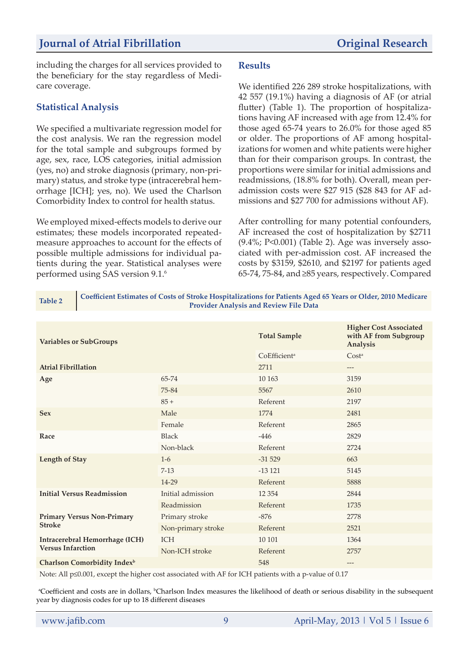## **Journal of Atrial Fibrillation Original Research**

including the charges for all services provided to the beneficiary for the stay regardless of Medicare coverage.

#### **Statistical Analysis**

We specified a multivariate regression model for the cost analysis. We ran the regression model for the total sample and subgroups formed by age, sex, race, LOS categories, initial admission (yes, no) and stroke diagnosis (primary, non-primary) status, and stroke type (intracerebral hemorrhage [ICH]; yes, no). We used the Charlson Comorbidity Index to control for health status.

We employed mixed-effects models to derive our estimates; these models incorporated repeatedmeasure approaches to account for the effects of possible multiple admissions for individual patients during the year. Statistical analyses were performed using SAS version 9.1.6

#### **Results**

We identified 226 289 stroke hospitalizations, with 42 557 (19.1%) having a diagnosis of AF (or atrial flutter) (Table 1). The proportion of hospitalizations having AF increased with age from 12.4% for those aged 65-74 years to 26.0% for those aged 85 or older. The proportions of AF among hospitalizations for women and white patients were higher than for their comparison groups. In contrast, the proportions were similar for initial admissions and readmissions, (18.8% for both). Overall, mean peradmission costs were \$27 915 (\$28 843 for AF admissions and \$27 700 for admissions without AF).

After controlling for many potential confounders, AF increased the cost of hospitalization by \$2711 (9.4%; P<0.001) (Table 2). Age was inversely associated with per-admission cost. AF increased the costs by \$3159, \$2610, and \$2197 for patients aged 65-74, 75-84, and ≥85 years, respectively. Compared

**Table 2 Coefficient Estimates of Costs of Stroke Hospitalizations for Patients Aged 65 Years or Older, 2010 Medicare Provider Analysis and Review File Data**

| <b>Variables or SubGroups</b>           |                    | <b>Total Sample</b>      | <b>Higher Cost Associated</b><br>with AF from Subgroup<br><b>Analysis</b> |
|-----------------------------------------|--------------------|--------------------------|---------------------------------------------------------------------------|
|                                         |                    | CoEfficient <sup>a</sup> | Cost <sup>a</sup>                                                         |
| <b>Atrial Fibrillation</b>              |                    | 2711                     | ---                                                                       |
| Age                                     | 65-74              | 10 163                   | 3159                                                                      |
|                                         | 75-84              | 5567                     | 2610                                                                      |
|                                         | $85 +$             | Referent                 | 2197                                                                      |
| <b>Sex</b>                              | Male               | 1774                     | 2481                                                                      |
|                                         | Female             | Referent                 | 2865                                                                      |
| Race                                    | <b>Black</b>       | $-446$                   | 2829                                                                      |
|                                         | Non-black          | Referent                 | 2724                                                                      |
| <b>Length of Stay</b>                   | $1-6$              | $-31529$                 | 663                                                                       |
|                                         | $7-13$             | $-13121$                 | 5145                                                                      |
|                                         | 14-29              | Referent                 | 5888                                                                      |
| <b>Initial Versus Readmission</b>       | Initial admission  | 12 3 54                  | 2844                                                                      |
|                                         | Readmission        | Referent                 | 1735                                                                      |
| <b>Primary Versus Non-Primary</b>       | Primary stroke     | $-876$                   | 2778                                                                      |
| <b>Stroke</b>                           | Non-primary stroke | Referent                 | 2521                                                                      |
| <b>Intracerebral Hemorrhage (ICH)</b>   | <b>ICH</b>         | 10 10 1                  | 1364                                                                      |
| <b>Versus Infarction</b>                | Non-ICH stroke     | Referent                 | 2757                                                                      |
| Charlson Comorbidity Index <sup>b</sup> |                    | 548                      | ---                                                                       |

Note: All p≤0.001, except the higher cost associated with AF for ICH patients with a p-value of 0.17

<sup>a</sup>Coefficient and costs are in dollars, <sup>b</sup>Charlson Index measures the likelihood of death or serious disability in the subsequent year by diagnosis codes for up to 18 different diseases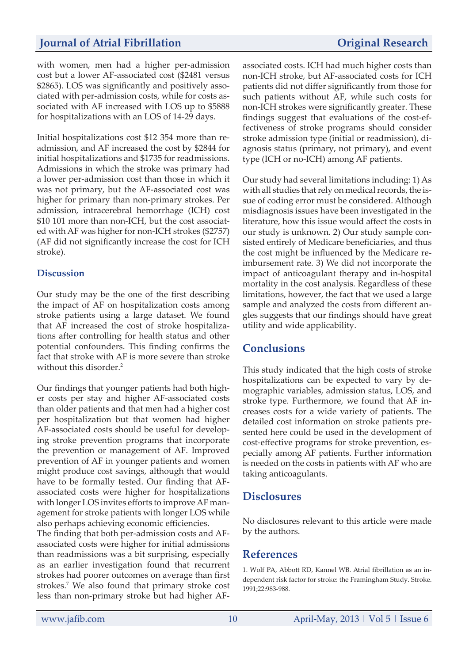## **Journal of Atrial Fibrillation** *Original Research*

with women, men had a higher per-admission cost but a lower AF-associated cost (\$2481 versus \$2865). LOS was significantly and positively associated with per-admission costs, while for costs associated with AF increased with LOS up to \$5888 for hospitalizations with an LOS of 14-29 days.

Initial hospitalizations cost \$12 354 more than readmission, and AF increased the cost by \$2844 for initial hospitalizations and \$1735 for readmissions. Admissions in which the stroke was primary had a lower per-admission cost than those in which it was not primary, but the AF-associated cost was higher for primary than non-primary strokes. Per admission, intracerebral hemorrhage (ICH) cost \$10 101 more than non-ICH, but the cost associated with AF was higher for non-ICH strokes (\$2757) (AF did not significantly increase the cost for ICH stroke).

#### **Discussion**

Our study may be the one of the first describing the impact of AF on hospitalization costs among stroke patients using a large dataset. We found that AF increased the cost of stroke hospitalizations after controlling for health status and other potential confounders. This finding confirms the fact that stroke with AF is more severe than stroke without this disorder.<sup>2</sup>

Our findings that younger patients had both higher costs per stay and higher AF-associated costs than older patients and that men had a higher cost per hospitalization but that women had higher AF-associated costs should be useful for developing stroke prevention programs that incorporate the prevention or management of AF. Improved prevention of AF in younger patients and women might produce cost savings, although that would have to be formally tested. Our finding that AFassociated costs were higher for hospitalizations with longer LOS invites efforts to improve AF management for stroke patients with longer LOS while also perhaps achieving economic efficiencies.

The finding that both per-admission costs and AFassociated costs were higher for initial admissions than readmissions was a bit surprising, especially as an earlier investigation found that recurrent strokes had poorer outcomes on average than first strokes.7 We also found that primary stroke cost less than non-primary stroke but had higher AF-

associated costs. ICH had much higher costs than non-ICH stroke, but AF-associated costs for ICH patients did not differ significantly from those for such patients without AF, while such costs for non-ICH strokes were significantly greater. These findings suggest that evaluations of the cost-effectiveness of stroke programs should consider stroke admission type (initial or readmission), diagnosis status (primary, not primary), and event type (ICH or no-ICH) among AF patients.

Our study had several limitations including: 1) As with all studies that rely on medical records, the issue of coding error must be considered. Although misdiagnosis issues have been investigated in the literature, how this issue would affect the costs in our study is unknown. 2) Our study sample consisted entirely of Medicare beneficiaries, and thus the cost might be influenced by the Medicare reimbursement rate. 3) We did not incorporate the impact of anticoagulant therapy and in-hospital mortality in the cost analysis. Regardless of these limitations, however, the fact that we used a large sample and analyzed the costs from different angles suggests that our findings should have great utility and wide applicability.

## **Conclusions**

This study indicated that the high costs of stroke hospitalizations can be expected to vary by demographic variables, admission status, LOS, and stroke type. Furthermore, we found that AF increases costs for a wide variety of patients. The detailed cost information on stroke patients presented here could be used in the development of cost-effective programs for stroke prevention, especially among AF patients. Further information is needed on the costs in patients with AF who are taking anticoagulants.

## **Disclosures**

No disclosures relevant to this article were made by the authors.

## **References**

1. Wolf PA, Abbott RD, Kannel WB. Atrial fibrillation as an independent risk factor for stroke: the Framingham Study. Stroke. 1991;22:983-988.